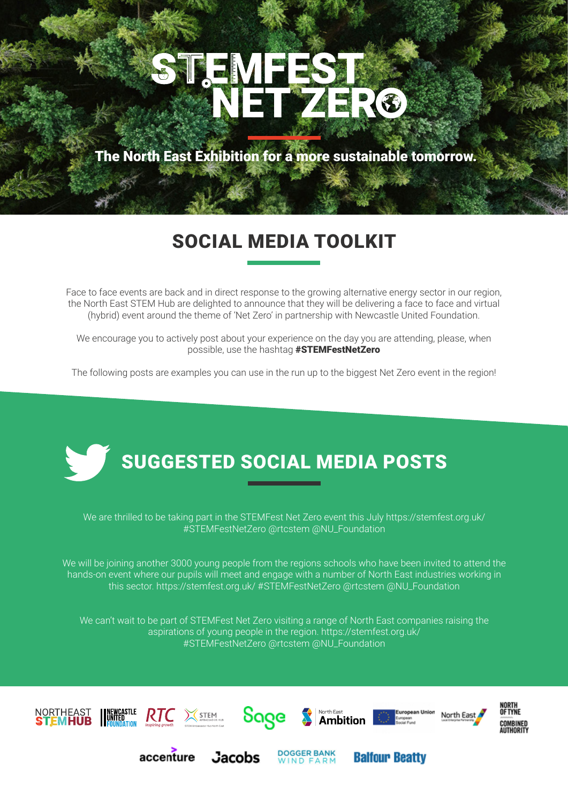# STEMFE EDZ R®

The North East Exhibition for a more sustainable tomorrow.

## SOCIAL MEDIA TOOLKIT

Face to face events are back and in direct response to the growing alternative energy sector in our region, the North East STEM Hub are delighted to announce that they will be delivering a face to face and virtual (hybrid) event around the theme of 'Net Zero' in partnership with Newcastle United Foundation.

We encourage you to actively post about your experience on the day you are attending, please, when possible, use the hashtag #STEMFestNetZero

The following posts are examples you can use in the run up to the biggest Net Zero event in the region!



We are thrilled to be taking part in the STEMFest Net Zero event this July https://stemfest.org.uk/ #STEMFestNetZero @rtcstem @NU\_Foundation

We will be joining another 3000 young people from the regions schools who have been invited to attend the hands-on event where our pupils will meet and engage with a number of North East industries working in this sector. https://stemfest.org.uk/ #STEMFestNetZero @rtcstem @NU\_Foundation

We can't wait to be part of STEMFest Net Zero visiting a range of North East companies raising the aspirations of young people in the region. https://stemfest.org.uk/ #STEMFestNetZero @rtcstem @NU\_Foundation